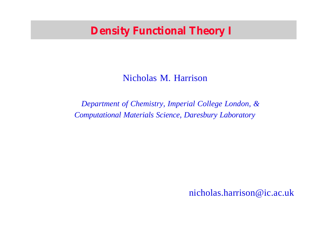#### **Density Functional Theory I**

#### Nicholas M. Harrison

*Department of Chemistry, Imperial College London, & Computational Materials Science, Daresbury Laboratory*

nicholas.harrison@ic.ac.uk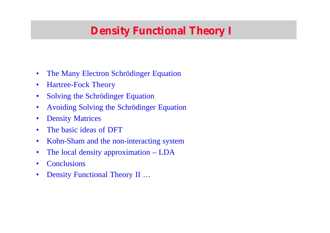# **Density Functional Theory I**

- The Many Electron Schrödinger Equation
- Hartree-Fock Theory
- Solving the Schrödinger Equation
- Avoiding Solving the Schrödinger Equation
- **Density Matrices**
- The basic ideas of DFT
- Kohn-Sham and the non-interacting system
- The local density approximation LDA
- **Conclusions**
- Density Functional Theory II …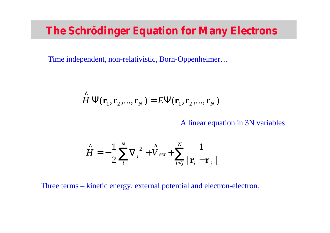#### **The Schrödinger Equation for Many Electrons**

Time independent, non-relativistic, Born-Oppenheimer…

$$
\hat{H} \Psi(\mathbf{r}_1, \mathbf{r}_2, ..., \mathbf{r}_N) = E \Psi(\mathbf{r}_1, \mathbf{r}_2, ..., \mathbf{r}_N)
$$

A linear equation in 3N variables

$$
\hat{H} = -\frac{1}{2} \sum_{i}^{N} \nabla_i^2 + \hat{V}_{ext} + \sum_{i < j}^{N} \frac{1}{\left| \mathbf{r}_i - \mathbf{r}_j \right|}
$$

Three terms – kinetic energy, external potential and electron-electron.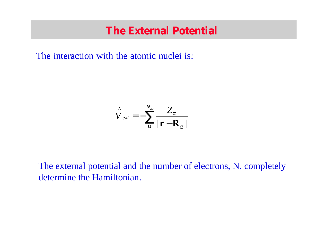#### **The External Potential**

The interaction with the atomic nuclei is:

$$
\hat{V}_{ext} = -\sum_{a}^{N_{at}} \frac{Z_a}{|\mathbf{r} - \mathbf{R}_a|}
$$

The external potential and the number of electrons, N, completely determine the Hamiltonian.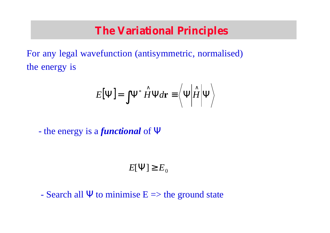#### **The Variational Principles**

For any legal wavefunction (antisymmetric, normalised) ne energy is

$$
E[\Psi] = \int \Psi^* \hat{H} \Psi d\mathbf{r} \equiv \left\langle \Psi \middle| \hat{H} \middle| \Psi \right\rangle
$$

- the energy is a *functional* of Ψ

$$
E[\Psi] \ge E_0
$$

- Search all  $\Psi$  to minimise  $E \Rightarrow$  the ground state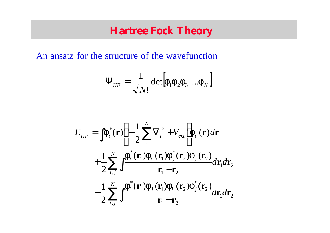#### **Hartree Fock Theory**

An ansatz for the structure of the wavefunction

$$
\Psi_{HF} = \frac{1}{\sqrt{N!}} \det \left[ \mathbf{f}_1 \mathbf{f}_2 \mathbf{f}_3 \dots \mathbf{f}_N \right]
$$

$$
E_{HF} = \int \mathbf{f}_i^*(\mathbf{r}) \left( -\frac{1}{2} \sum_i^N \nabla_i^2 + V_{ext} \right) \mathbf{f}_i(\mathbf{r}) d\mathbf{r} + \frac{1}{2} \sum_{i,j}^N \int \frac{\mathbf{f}_i^*(\mathbf{r}_1) \mathbf{f}_i(\mathbf{r}_1) \mathbf{f}_j^*(\mathbf{r}_2) \mathbf{f}_j(\mathbf{r}_2)}{|\mathbf{r}_1 - \mathbf{r}_2|} d\mathbf{r}_1 d\mathbf{r}_2 - \frac{1}{2} \sum_{i,j}^N \int \frac{\mathbf{f}_i^*(\mathbf{r}_1) \mathbf{f}_j(\mathbf{r}_1) \mathbf{f}_i(\mathbf{r}_2) \mathbf{f}_j^*(\mathbf{r}_2)}{|\mathbf{r}_1 - \mathbf{r}_2|} d\mathbf{r}_1 d\mathbf{r}_2
$$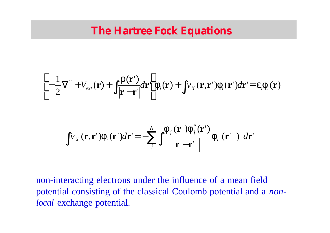#### **The Hartree Fock Equations**

$$
\left[-\frac{1}{2}\nabla^2 + V_{ext}(\mathbf{r}) + \int \frac{\mathbf{r}(\mathbf{r}^{\prime})}{|\mathbf{r} - \mathbf{r}^{\prime}|} d\mathbf{r}^{\prime}\right] \mathbf{f}_i(\mathbf{r}) + \int v_X(\mathbf{r}, \mathbf{r}^{\prime}) \mathbf{f}_i(\mathbf{r}^{\prime}) d\mathbf{r}^{\prime} = \mathbf{e}_i \mathbf{f}_i(\mathbf{r})
$$

$$
\int v_X(\mathbf{r}, \mathbf{r}') \mathbf{f}_i(\mathbf{r}') d\mathbf{r}' = -\sum_j^N \int \frac{\mathbf{f}_j(\mathbf{r}) \mathbf{f}_j^*(\mathbf{r}')}{|\mathbf{r} - \mathbf{r}'|} \mathbf{f}_i(\mathbf{r}') d\mathbf{r}'
$$

non-interacting electrons under the influence of a mean field potential consisting of the classical Coulomb potential and a *nonlocal* exchange potential.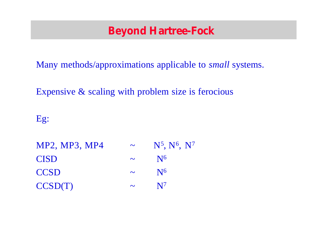# **Beyond Hartree-Fock**

Many methods/approximations applicable to *small* systems.

Expensive & scaling with problem size is ferocious

Eg:

MP2, MP3, MP4  $\sim$ , N<sup>6</sup>, N<sup>7</sup>  $CISD \sim N^6$  $CCSD$  ~  $N^6$  $CCSD(T)$  ~  $N^7$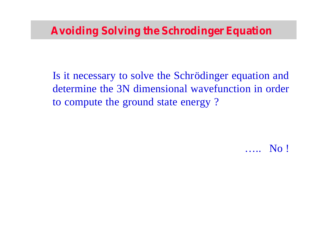Is it necessary to solve the Schrödinger equation and determine the 3N dimensional wavefunction in order to compute the ground state energy ?

….. No !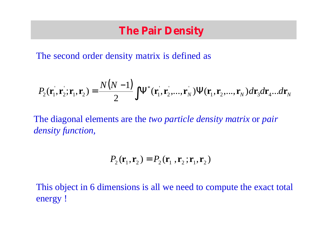## **The Pair Density**

The second order density matrix is defined as

$$
P_2(\mathbf{r}_1^{\prime}, \mathbf{r}_2^{\prime}; \mathbf{r}_1, \mathbf{r}_2) = \frac{N(N-1)}{2} \int \Psi^*(\mathbf{r}_1^{\prime}, \mathbf{r}_2^{\prime}, \dots, \mathbf{r}_N^{\prime}) \Psi(\mathbf{r}_1, \mathbf{r}_2, \dots, \mathbf{r}_N) d\mathbf{r}_3 d\mathbf{r}_4 \dots d\mathbf{r}_N
$$

The diagonal elements are the *two particle density matrix* or *pair density function,*

$$
P_2(\mathbf{r}_1, \mathbf{r}_2) = P_2(\mathbf{r}_1, \mathbf{r}_2; \mathbf{r}_1, \mathbf{r}_2)
$$

This object in 6 dimensions is all we need to compute the exact total energy !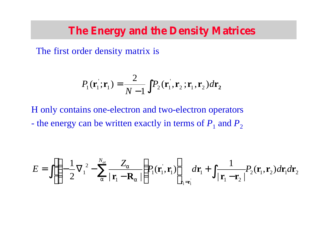#### **The Energy and the Density Matrices**

The first order density matrix is

$$
P_1(\mathbf{r}_1^{\dagger}; \mathbf{r}_1) = \frac{2}{N-1} \int P_2(\mathbf{r}_1^{\dagger}, \mathbf{r}_2^{\dagger}; \mathbf{r}_1^{\dagger}, \mathbf{r}_2) d\mathbf{r}_2
$$

H only contains one-electron and two-electron operators - the energy can be written exactly in terms of  $P_1$  and  $P_2$ 

$$
E = \iint \left[ -\frac{1}{2} \nabla_1^2 - \sum_{a}^{N_{at}} \frac{Z_a}{|\mathbf{r}_1 - \mathbf{R}_a|} \right] P_1(\mathbf{r}_1, \mathbf{r}_1) \Bigg]_{\mathbf{r}_1 = \mathbf{r}_1} d\mathbf{r}_1 + \int \frac{1}{|\mathbf{r}_1 - \mathbf{r}_2|} P_2(\mathbf{r}_1, \mathbf{r}_2) d\mathbf{r}_1 d\mathbf{r}_2
$$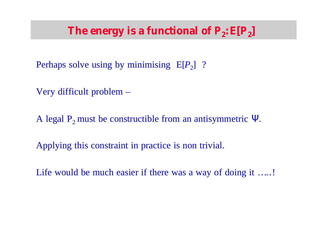# The energy is a functional of  $\textbf{\textit{P}}_{2}$ :  $\textbf{E}[\textbf{\textit{P}}_{2}]$

- Perhaps solve using by minimising  $E[P_2]$ ?
- Very difficult problem –
- A legal  $P_2$  must be constructible from an antisymmetric Ψ.
- Applying this constraint in practice is non trivial.
- Life would be much easier if there was a way of doing it .....!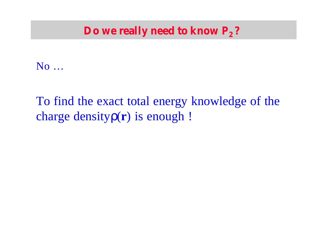#### **Do we really need to know** *P***2 ?**

No …

# To find the exact total energy knowledge of the charge densityρ(**r**) is enough !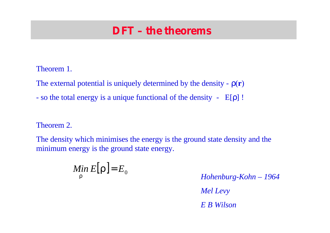## **DFT – the theorems**

#### Theorem 1.

- The external potential is uniquely determined by the density ρ(**r**)
- so the total energy is a unique functional of the density E[ρ] !

#### Theorem 2.

The density which minimises the energy is the ground state density and the minimum energy is the ground state energy.

$$
\mathop{\mathit{Min}}_{\mathbf{r}} E[\mathbf{r}] = E_0
$$

*Hohenburg-Kohn – 1964*

*Mel Levy*

*E B Wilson*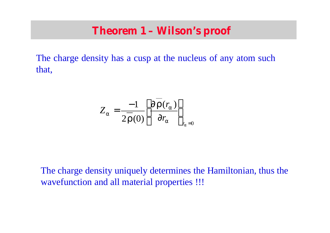#### **Theorem 1 – Wilson's proof**

The charge density has a cusp at the nucleus of any atom such that,

$$
Z_{a} = \frac{-1}{2\mathbf{r}(0)} \left[ \frac{\partial \mathbf{r}(r_{a})}{\partial r_{a}} \right]_{r_{a}=0}
$$

The charge density uniquely determines the Hamiltonian, thus the wavefunction and all material properties !!!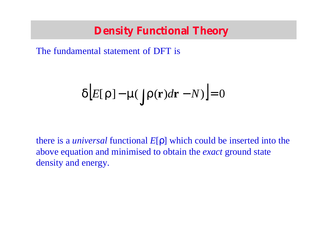## **Density Functional Theory**

The fundamental statement of DFT is

$$
d\Big[E[r] - m\int r(r)dr - N\Big] = 0
$$

there is a *universal* functional *E*[ρ] which could be inserted into the above equation and minimised to obtain the *exact* ground state density and energy.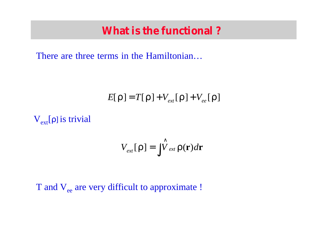#### **What is the functional ?**

There are three terms in the Hamiltonian…

$$
E[\mathbf{r}] = T[\mathbf{r}] + V_{ext}[\mathbf{r}] + V_{ee}[\mathbf{r}]
$$

 $V_{ext}[\rho]$  is trivial

$$
V_{ext}[\mathbf{r}] = \int \hat{V}_{ext} \mathbf{r}(\mathbf{r}) d\mathbf{r}
$$

#### T and V<sub>ee</sub> are very difficult to approximate !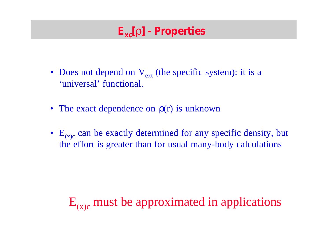# **Exc[r] - Properties**

- Does not depend on  $V_{ext}$  (the specific system): it is a 'universal' functional.
- The exact dependence on  $p(r)$  is unknown
- $E_{(x)c}$  can be exactly determined for any specific density, but the effort is greater than for usual many-body calculations

# $E_{(x)c}$  must be approximated in applications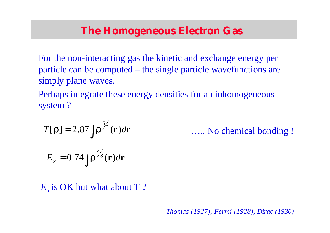## **The Homogeneous Electron Gas**

For the non-interacting gas the kinetic and exchange energy per particle can be computed – the single particle wavefunctions are simply plane waves.

Perhaps integrate these energy densities for an inhomogeneous system ?

$$
T[\mathbf{r}] = 2.87 \int \mathbf{r}^{5/3}(\mathbf{r}) d\mathbf{r}
$$
 .... No chemical bonding!

$$
E_x = 0.74 \int \mathbf{r}^{4/3}(\mathbf{r}) d\mathbf{r}
$$

*E*<sub>x</sub> is OK but what about T?

*Thomas (1927), Fermi (1928), Dirac (1930)*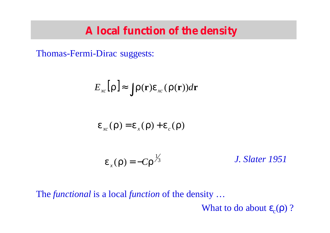#### **A local function of the density**

Thomas-Fermi-Dirac suggests:

$$
E_{_{xc}}[\mathbf{r}] \approx \int \mathbf{r}(\mathbf{r}) \mathbf{e}_{_{xc}}(\mathbf{r}(\mathbf{r})) d\mathbf{r}
$$

$$
\boldsymbol{e}_{\scriptscriptstyle xc}(\boldsymbol{r}) = \boldsymbol{e}_{\scriptscriptstyle x}(\boldsymbol{r}) + \boldsymbol{e}_{\scriptscriptstyle c}(\boldsymbol{r})
$$

$$
\mathbf{e}_x(\mathbf{r}) = -\mathbf{Cr}^{\frac{1}{3}}
$$
 J. Slater 1951

The *functional* is a local *function* of the density …

What to do about  $\epsilon_c(\rho)$  ?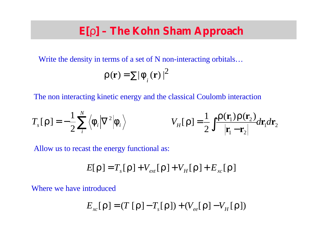# **E[r] – The Kohn Sham Approach**

Write the density in terms of a set of N non-interacting orbitals...

$$
\mathbf{r}(\mathbf{r}) = \sum |\mathbf{f}_{i}(\mathbf{r})|^{2}
$$

The non interacting kinetic energy and the classical Coulomb interaction

$$
T_s[\mathbf{r}] = -\frac{1}{2} \sum_{i}^{N} \langle \mathbf{f}_i | \nabla^2 | \mathbf{f}_i \rangle \qquad V_H[\mathbf{r}] = \frac{1}{2} \int \frac{\mathbf{r}(\mathbf{r}_1) \mathbf{r}(\mathbf{r}_2)}{|\mathbf{r}_1 - \mathbf{r}_2|} d\mathbf{r}_1 d\mathbf{r}_2
$$

Allow us to recast the energy functional as:

$$
E[\boldsymbol{r}] = T_{s}[\boldsymbol{r}] + V_{ext}[\boldsymbol{r}] + V_{H}[\boldsymbol{r}] + E_{xc}[\boldsymbol{r}]
$$

Where we have introduced

$$
E_{xc}[\mathbf{r}] = (T[\mathbf{r}] - T_s[\mathbf{r}]) + (V_{ee}[\mathbf{r}] - V_H[\mathbf{r}])
$$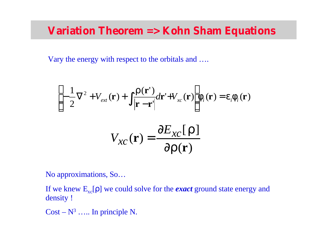## **Variation Theorem => Kohn Sham Equations**

Vary the energy with respect to the orbitals and ….

$$
\begin{aligned}\n&\left[-\frac{1}{2}\nabla^2 + V_{ext}(\mathbf{r}) + \int \frac{\mathbf{r}(\mathbf{r}^{\prime})}{|\mathbf{r} - \mathbf{r}^{\prime}|} d\mathbf{r}^{\prime} + V_{xc}(\mathbf{r})\right] \mathbf{f}_i(\mathbf{r}) = \mathbf{e}_i \mathbf{f}_i(\mathbf{r}) \\
&V_{xc}(\mathbf{r}) = \frac{\partial E_{xc}[\mathbf{r}]}{\partial \mathbf{r}(\mathbf{r})}\n\end{aligned}
$$

No approximations, So…

If we knew  $E_{xc}[\rho]$  we could solve for the *exact* ground state energy and density !

 $Cost - N^3$  ..... In principle N.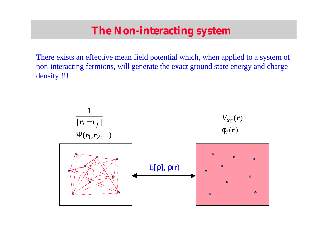## **The Non-interacting system**

There exists an effective mean field potential which, when applied to a system of non-interacting fermions, will generate the exact ground state energy and charge density !!!

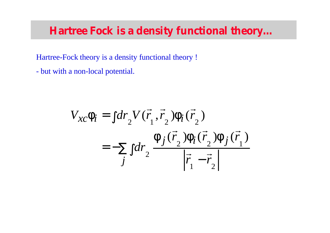#### **Hartree Fock is a density functional theory…**

Hartree-Fock theory is a density functional theory !

- but with a non-local potential.

$$
V_{xc} \mathbf{f}_i = \int dr_2 V(\vec{r}_1, \vec{r}_2) \mathbf{f}_i(\vec{r}_2)
$$
  
= 
$$
-\sum_j \int dr_2 \frac{\mathbf{f}_j(\vec{r}_2) \mathbf{f}_i(\vec{r}_2) \mathbf{f}_j(\vec{r}_1)}{\left|\vec{r}_1 - \vec{r}_2\right|}
$$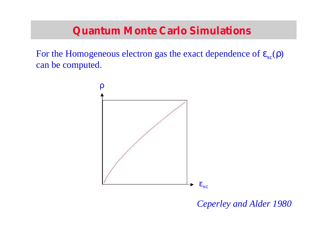## **Quantum Monte Carlo Simulations**

For the Homogeneous electron gas the exact dependence of  $\epsilon_{\rm xc}(\rho)$ can be computed.



*Ceperley and Alder 1980*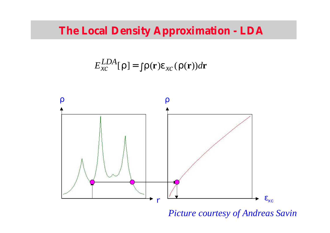# **The Local Density Approximation - LDA**

$$
E_{xc}^{LDA}[\mathbf{r}] = \int \mathbf{r}(\mathbf{r}) \mathbf{e}_{xc}(\mathbf{r}(\mathbf{r})) d\mathbf{r}
$$



#### *Picture courtesy of Andreas Savin*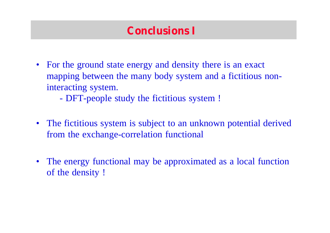# **Conclusions I**

- For the ground state energy and density there is an exact mapping between the many body system and a fictitious noninteracting system.
	- DFT-people study the fictitious system !
- The fictitious system is subject to an unknown potential derived from the exchange-correlation functional
- The energy functional may be approximated as a local function of the density !